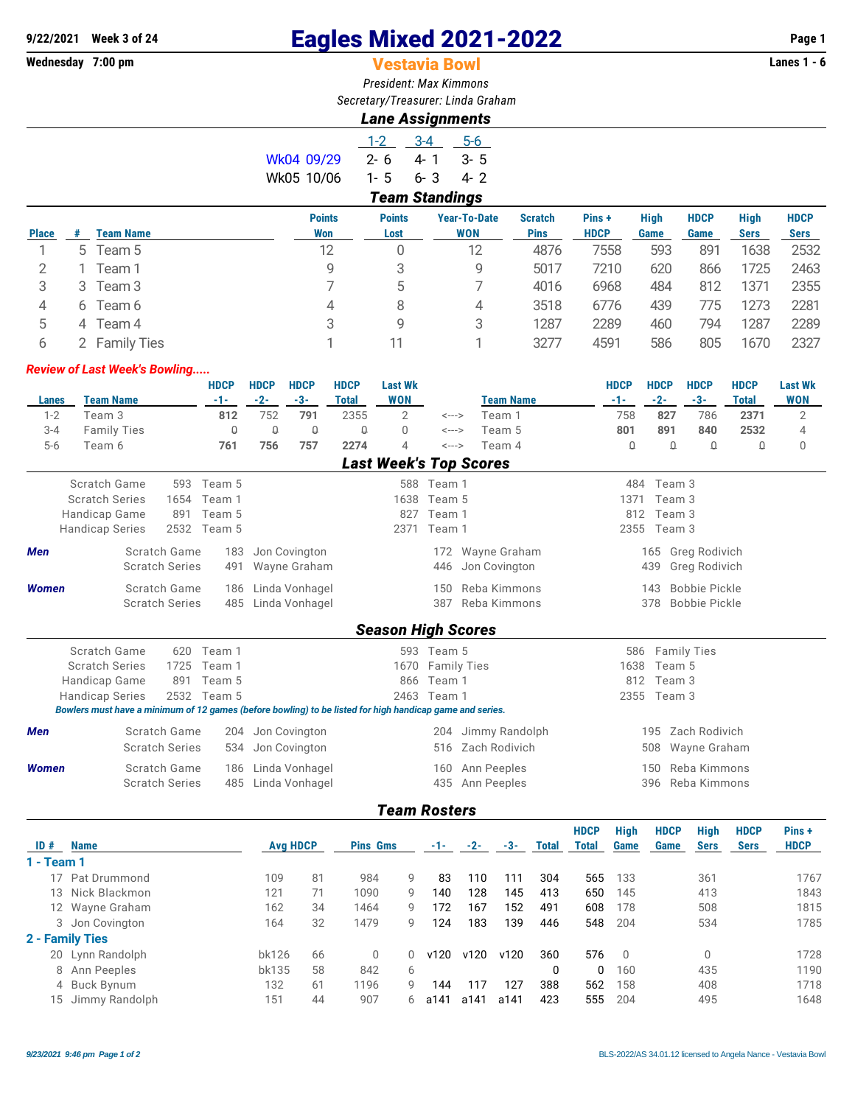# **9/22/2021 Week 3 of 24 Eagles Mixed 2021-2022 Page 1**

# **Vestavia Bowl**

*President: Max Kimmons Secretary/Treasurer: Linda Graham*

## *Lane Assignments*

|            | $1-2$   | $-3-4$                | 5-6     |
|------------|---------|-----------------------|---------|
| Wk04 09/29 | ን- 6    | 4-1                   | $3 - 5$ |
| Wk05 10/06 | $1 - 5$ | 6-3                   | 4-2     |
|            |         | <b>Team Standings</b> |         |

| <b>Place</b> |   | <b>Team Name</b>   | <b>Points</b><br>Won | <b>Points</b><br>Lost | <b>Year-To-Date</b><br><b>WON</b> | <b>Scratch</b><br><b>Pins</b> | Pins +<br><b>HDCP</b> | <b>High</b><br>Game | <b>HDCP</b><br>Game | <b>High</b><br><b>Sers</b> | <b>HDCP</b><br><b>Sers</b> |
|--------------|---|--------------------|----------------------|-----------------------|-----------------------------------|-------------------------------|-----------------------|---------------------|---------------------|----------------------------|----------------------------|
|              |   | 5 Team 5           | 12                   | 0                     | 12                                | 4876                          | 7558                  | 593                 | 891                 | 1638                       | 2532                       |
|              |   | Team 1             | 9                    |                       | 9                                 | 5017                          | 7210                  | 620                 | 866                 | 1725                       | 2463                       |
| 3            | 3 | Team 3             |                      | 5                     |                                   | 4016                          | 6968                  | 484                 | 812                 | 1371                       | 2355                       |
| 4            | 6 | Team 6             | 4                    | 8                     | 4                                 | 3518                          | 6776                  | 439                 | 775                 | 1273                       | 2281                       |
| 5            | 4 | Team 4             | 3                    | 9                     | 3                                 | 1287                          | 2289                  | 460                 | 794                 | 1287                       | 2289                       |
| ь            |   | <b>Family Ties</b> |                      |                       |                                   | 3277                          | 4591                  | 586                 | 805                 | 1670                       | 2327                       |
|              |   |                    |                      |                       |                                   |                               |                       |                     |                     |                            |                            |

#### *Review of Last Week's Bowling.....*

|              |                                                                                                          |                       | <b>HDCP</b> | <b>HDCP</b> | <b>HDCP</b>    | <b>HDCP</b>  | <b>Last Wk</b>            |                    |                               | <b>HDCP</b> | <b>HDCP</b> | <b>HDCP</b>          | <b>HDCP</b>  | <b>Last Wk</b> |
|--------------|----------------------------------------------------------------------------------------------------------|-----------------------|-------------|-------------|----------------|--------------|---------------------------|--------------------|-------------------------------|-------------|-------------|----------------------|--------------|----------------|
| Lanes        | <b>Team Name</b>                                                                                         |                       | $-1-$       | $-2-$       | $-3-$          | <b>Total</b> | <b>WON</b>                |                    | <b>Team Name</b>              | $-1-$       | $-2-$       | $-3-$                | <b>Total</b> | <b>WON</b>     |
| $1 - 2$      | Team 3                                                                                                   |                       | 812         | 752         | 791            | 2355         | $\overline{2}$            | <--->              | Team 1                        | 758         | 827         | 786                  | 2371         | $\overline{2}$ |
| $3 - 4$      | <b>Family Ties</b>                                                                                       |                       | $\Omega$    | $\theta$    | $\mathbb Q$    | $\mathsf{Q}$ | $\Omega$                  | <--->              | Team 5                        | 801         | 891         | 840                  | 2532         | 4              |
| $5-6$        | Team 6                                                                                                   |                       | 761         | 756         | 757            | 2274         | 4                         | <--->              | Team 4                        | $\theta$    | $\theta$    | $\theta$             | $\theta$     | $\mathbf{0}$   |
|              |                                                                                                          |                       |             |             |                |              |                           |                    | <b>Last Week's Top Scores</b> |             |             |                      |              |                |
|              | Scratch Game                                                                                             | 593                   | Team 5      |             |                |              |                           | 588 Team 1         |                               | 484         | Team 3      |                      |              |                |
|              | <b>Scratch Series</b>                                                                                    | 1654                  | Team 1      |             |                |              | 1638                      | Team 5             |                               | 1371        | Team 3      |                      |              |                |
|              | Handicap Game                                                                                            | 891                   | Team 5      |             |                |              | 827                       | Team 1             |                               | 812         | Team 3      |                      |              |                |
|              | <b>Handicap Series</b>                                                                                   | 2532                  | Team 5      |             |                |              | 2371                      | Team 1             |                               | 2355        | Team 3      |                      |              |                |
| <b>Men</b>   |                                                                                                          | Scratch Game          | 183         |             | Jon Covington  |              |                           |                    | 172 Wayne Graham              |             |             | 165 Greg Rodivich    |              |                |
|              |                                                                                                          | <b>Scratch Series</b> | 491         |             | Wayne Graham   |              |                           | 446                | Jon Covington                 |             | 439         | Greg Rodivich        |              |                |
| <b>Women</b> |                                                                                                          | Scratch Game          | 186         |             | Linda Vonhagel |              |                           | 150                | Reba Kimmons                  |             | 143         | <b>Bobbie Pickle</b> |              |                |
|              |                                                                                                          | <b>Scratch Series</b> | 485         |             | Linda Vonhagel |              |                           | 387                | Reba Kimmons                  |             | 378         | <b>Bobbie Pickle</b> |              |                |
|              |                                                                                                          |                       |             |             |                |              | <b>Season High Scores</b> |                    |                               |             |             |                      |              |                |
|              | Scratch Game                                                                                             | 620                   | Team 1      |             |                |              |                           | 593 Team 5         |                               | 586         |             | <b>Family Ties</b>   |              |                |
|              | <b>Scratch Series</b>                                                                                    | 1725                  | Team 1      |             |                |              | 1670                      | <b>Family Ties</b> |                               | 1638        | Team 5      |                      |              |                |
|              | Handicap Game                                                                                            | 891                   | Team 5      |             |                |              | 866                       | Team 1             |                               | 812         | Team 3      |                      |              |                |
|              | <b>Handicap Series</b>                                                                                   |                       | 2532 Team 5 |             |                |              | 2463                      | Team 1             |                               | 2355        | Team 3      |                      |              |                |
|              | Bowlers must have a minimum of 12 games (before bowling) to be listed for high handicap game and series. |                       |             |             |                |              |                           |                    |                               |             |             |                      |              |                |
| <b>Men</b>   |                                                                                                          | Scratch Game          | 204         |             | Jon Covington  |              |                           | 204                | Jimmy Randolph                |             | 195         | Zach Rodivich        |              |                |
|              |                                                                                                          | <b>Scratch Series</b> | 534         |             | Jon Covington  |              |                           | 516                | Zach Rodivich                 |             | 508         | Wayne Graham         |              |                |
| <b>Women</b> |                                                                                                          | Scratch Game          | 186         |             | Linda Vonhagel |              |                           | 160                | Ann Peeples                   |             | 150         | Reba Kimmons         |              |                |
|              |                                                                                                          | <b>Scratch Series</b> | 485         |             | Linda Vonhagel |              |                           | 435                | Ann Peeples                   |             | 396         | Reba Kimmons         |              |                |

### *Team Rosters*

| ID#        | <b>Name</b>       | <b>Avg HDCP</b> |    | <b>Pins Gms</b> |    | $-1-$ | $-2-$ | -3-  | <b>Total</b> | <b>HDCP</b><br>Total | High<br>Game   | <b>HDCP</b><br>Game | <b>High</b><br><b>Sers</b> | <b>HDCP</b><br><b>Sers</b> | Pins +<br><b>HDCP</b> |
|------------|-------------------|-----------------|----|-----------------|----|-------|-------|------|--------------|----------------------|----------------|---------------------|----------------------------|----------------------------|-----------------------|
| 1 - Team 1 |                   |                 |    |                 |    |       |       |      |              |                      |                |                     |                            |                            |                       |
|            | 17 Pat Drummond   | 109             | 81 | 984             | 9  | 83    | 110   | 111  | 304          | 565                  | 133            |                     | 361                        |                            | 1767                  |
|            | 13 Nick Blackmon  | 121             | 71 | 1090            | 9  | 140   | 128   | 145  | 413          | 650                  | 145            |                     | 413                        |                            | 1843                  |
|            | 12 Wayne Graham   | 162             | 34 | 1464            | 9  | 172   | 167   | 152  | 491          | 608                  | 178            |                     | 508                        |                            | 1815                  |
|            | 3 Jon Covington   | 164             | 32 | 1479            | 9  | 124   | 183   | 139  | 446          | 548                  | 204            |                     | 534                        |                            | 1785                  |
|            | 2 - Family Ties   |                 |    |                 |    |       |       |      |              |                      |                |                     |                            |                            |                       |
|            | 20 Lynn Randolph  | bk126           | 66 | $\Omega$        | 0  | v120  | v120  | v120 | 360          | 576                  | $\overline{0}$ |                     | $\Omega$                   |                            | 1728                  |
|            | 8 Ann Peeples     | bk135           | 58 | 842             | 6  |       |       |      | 0            | $\Omega$             | 160            |                     | 435                        |                            | 1190                  |
|            | 4 Buck Bynum      | 132             | 61 | 1196            | 9  | 144   | 117   | 127  | 388          | 562                  | 158            |                     | 408                        |                            | 1718                  |
|            | 15 Jimmy Randolph | 151             | 44 | 907             | 6. | a141  | a141  | a141 | 423          | 555                  | 204            |                     | 495                        |                            | 1648                  |
|            |                   |                 |    |                 |    |       |       |      |              |                      |                |                     |                            |                            |                       |